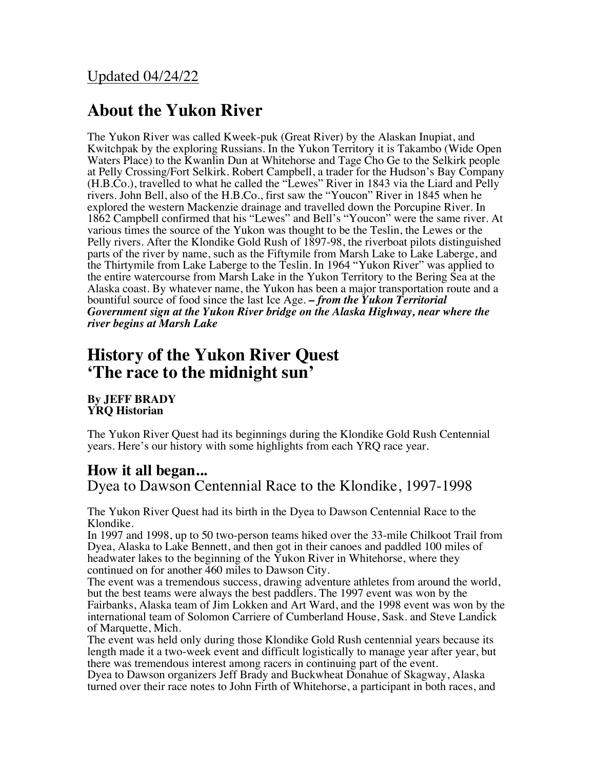# **About the Yukon River**

The Yukon River was called Kweek-puk (Great River) by the Alaskan Inupiat, and Kwitchpak by the exploring Russians. In the Yukon Territory it is Takambo (Wide Open Waters Place) to the Kwanlin Dun at Whitehorse and Tage Cho Ge to the Selkirk people at Pelly Crossing/Fort Selkirk. Robert Campbell, a trader for the Hudson's Bay Company (H.B.Co.), travelled to what he called the "Lewes" River in 1843 via the Liard and Pelly rivers. John Bell, also of the H.B.Co., first saw the "Youcon" River in 1845 when he explored the western Mackenzie drainage and travelled down the Porcupine River. In 1862 Campbell confirmed that his "Lewes" and Bell's "Youcon" were the same river. At various times the source of the Yukon was thought to be the Teslin, the Lewes or the Pelly rivers. After the Klondike Gold Rush of 1897-98, the riverboat pilots distinguished parts of the river by name, such as the Fiftymile from Marsh Lake to Lake Laberge, and the Thirtymile from Lake Laberge to the Teslin. In 1964 "Yukon River" was applied to the entire watercourse from Marsh Lake in the Yukon Territory to the Bering Sea at the Alaska coast. By whatever name, the Yukon has been a major transportation route and a bountiful source of food since the last Ice Age. *– from the Yukon Territorial Government sign at the Yukon River bridge on the Alaska Highway, near where the river begins at Marsh Lake*

# **History of the Yukon River Quest 'The race to the midnight sun'**

**By JEFF BRADY YRQ Historian**

The Yukon River Quest had its beginnings during the Klondike Gold Rush Centennial years. Here's our history with some highlights from each YRQ race year.

### **How it all began...**

Dyea to Dawson Centennial Race to the Klondike, 1997-1998

The Yukon River Quest had its birth in the Dyea to Dawson Centennial Race to the Klondike.

In 1997 and 1998, up to 50 two-person teams hiked over the 33-mile Chilkoot Trail from Dyea, Alaska to Lake Bennett, and then got in their canoes and paddled 100 miles of headwater lakes to the beginning of the Yukon River in Whitehorse, where they continued on for another 460 miles to Dawson City.

The event was a tremendous success, drawing adventure athletes from around the world, but the best teams were always the best paddlers. The 1997 event was won by the Fairbanks, Alaska team of Jim Lokken and Art Ward, and the 1998 event was won by the international team of Solomon Carriere of Cumberland House, Sask. and Steve Landick of Marquette, Mich.

The event was held only during those Klondike Gold Rush centennial years because its length made it a two-week event and difficult logistically to manage year after year, but there was tremendous interest among racers in continuing part of the event.

Dyea to Dawson organizers Jeff Brady and Buckwheat Donahue of Skagway, Alaska turned over their race notes to John Firth of Whitehorse, a participant in both races, and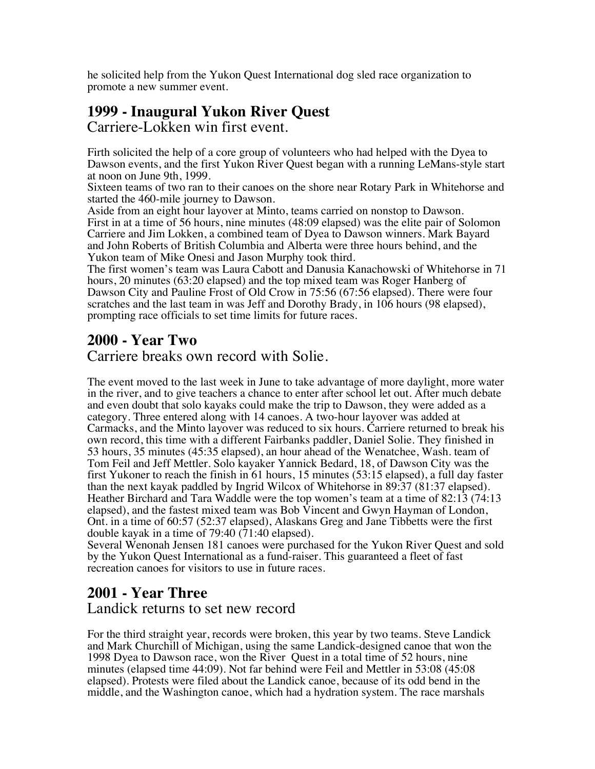he solicited help from the Yukon Quest International dog sled race organization to promote a new summer event.

# **1999 - Inaugural Yukon River Quest**

Carriere-Lokken win first event.

Firth solicited the help of a core group of volunteers who had helped with the Dyea to Dawson events, and the first Yukon River Quest began with a running LeMans-style start at noon on June 9th, 1999.

Sixteen teams of two ran to their canoes on the shore near Rotary Park in Whitehorse and started the 460-mile journey to Dawson.

Aside from an eight hour layover at Minto, teams carried on nonstop to Dawson. First in at a time of 56 hours, nine minutes (48:09 elapsed) was the elite pair of Solomon Carriere and Jim Lokken, a combined team of Dyea to Dawson winners. Mark Bayard and John Roberts of British Columbia and Alberta were three hours behind, and the Yukon team of Mike Onesi and Jason Murphy took third.

The first women's team was Laura Cabott and Danusia Kanachowski of Whitehorse in 71 hours, 20 minutes (63:20 elapsed) and the top mixed team was Roger Hanberg of Dawson City and Pauline Frost of Old Crow in 75:56 (67:56 elapsed). There were four scratches and the last team in was Jeff and Dorothy Brady, in 106 hours (98 elapsed), prompting race officials to set time limits for future races.

#### **2000 - Year Two**

Carriere breaks own record with Solie.

The event moved to the last week in June to take advantage of more daylight, more water in the river, and to give teachers a chance to enter after school let out. After much debate and even doubt that solo kayaks could make the trip to Dawson, they were added as a category. Three entered along with 14 canoes. A two-hour layover was added at Carmacks, and the Minto layover was reduced to six hours. Carriere returned to break his own record, this time with a different Fairbanks paddler, Daniel Solie. They finished in 53 hours, 35 minutes (45:35 elapsed), an hour ahead of the Wenatchee, Wash. team of Tom Feil and Jeff Mettler. Solo kayaker Yannick Bedard, 18, of Dawson City was the first Yukoner to reach the finish in 61 hours, 15 minutes (53:15 elapsed), a full day faster than the next kayak paddled by Ingrid Wilcox of Whitehorse in 89:37 (81:37 elapsed). Heather Birchard and Tara Waddle were the top women's team at a time of 82:13 (74:13 elapsed), and the fastest mixed team was Bob Vincent and Gwyn Hayman of London, Ont. in a time of 60:57 (52:37 elapsed), Alaskans Greg and Jane Tibbetts were the first double kayak in a time of 79:40  $(71:40 \text{ elapsed})$ .

Several Wenonah Jensen 181 canoes were purchased for the Yukon River Quest and sold by the Yukon Quest International as a fund-raiser. This guaranteed a fleet of fast recreation canoes for visitors to use in future races.

#### **2001 - Year Three** Landick returns to set new record

For the third straight year, records were broken, this year by two teams. Steve Landick and Mark Churchill of Michigan, using the same Landick-designed canoe that won the 1998 Dyea to Dawson race, won the River Quest in a total time of 52 hours, nine minutes (elapsed time 44:09). Not far behind were Feil and Mettler in 53:08 (45:08 elapsed). Protests were filed about the Landick canoe, because of its odd bend in the middle, and the Washington canoe, which had a hydration system. The race marshals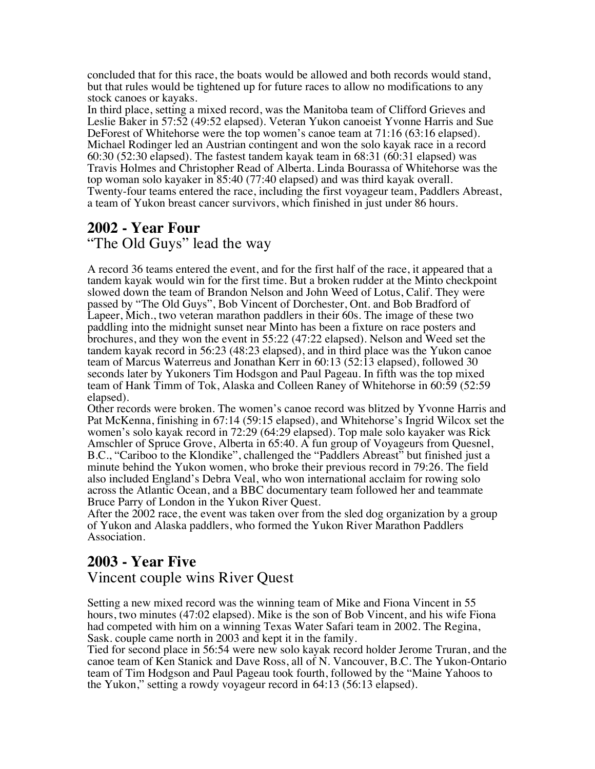concluded that for this race, the boats would be allowed and both records would stand, but that rules would be tightened up for future races to allow no modifications to any stock canoes or kayaks.

In third place, setting a mixed record, was the Manitoba team of Clifford Grieves and Leslie Baker in 57:52 (49:52 elapsed). Veteran Yukon canoeist Yvonne Harris and Sue DeForest of Whitehorse were the top women's canoe team at 71:16 (63:16 elapsed). Michael Rodinger led an Austrian contingent and won the solo kayak race in a record 60:30 (52:30 elapsed). The fastest tandem kayak team in 68:31 (60:31 elapsed) was Travis Holmes and Christopher Read of Alberta. Linda Bourassa of Whitehorse was the top woman solo kayaker in 85:40 (77:40 elapsed) and was third kayak overall. Twenty-four teams entered the race, including the first voyageur team, Paddlers Abreast, a team of Yukon breast cancer survivors, which finished in just under 86 hours.

### **2002 - Year Four**

"The Old Guys" lead the way

A record 36 teams entered the event, and for the first half of the race, it appeared that a tandem kayak would win for the first time. But a broken rudder at the Minto checkpoint slowed down the team of Brandon Nelson and John Weed of Lotus, Calif. They were passed by "The Old Guys", Bob Vincent of Dorchester, Ont. and Bob Bradford of Lapeer, Mich., two veteran marathon paddlers in their 60s. The image of these two paddling into the midnight sunset near Minto has been a fixture on race posters and brochures, and they won the event in 55:22 (47:22 elapsed). Nelson and Weed set the tandem kayak record in 56:23 (48:23 elapsed), and in third place was the Yukon canoe team of Marcus Waterreus and Jonathan Kerr in 60:13 (52:13 elapsed), followed 30 seconds later by Yukoners Tim Hodsgon and Paul Pageau. In fifth was the top mixed team of Hank Timm of Tok, Alaska and Colleen Raney of Whitehorse in 60:59 (52:59 elapsed).

Other records were broken. The women's canoe record was blitzed by Yvonne Harris and Pat McKenna, finishing in 67:14 (59:15 elapsed), and Whitehorse's Ingrid Wilcox set the women's solo kayak record in 72:29 (64:29 elapsed). Top male solo kayaker was Rick Amschler of Spruce Grove, Alberta in 65:40. A fun group of Voyageurs from Quesnel, B.C., "Cariboo to the Klondike", challenged the "Paddlers Abreast" but finished just a minute behind the Yukon women, who broke their previous record in 79:26. The field also included England's Debra Veal, who won international acclaim for rowing solo across the Atlantic Ocean, and a BBC documentary team followed her and teammate Bruce Parry of London in the Yukon River Quest.

After the 2002 race, the event was taken over from the sled dog organization by a group of Yukon and Alaska paddlers, who formed the Yukon River Marathon Paddlers Association.

### **2003 - Year Five**

#### Vincent couple wins River Quest

Setting a new mixed record was the winning team of Mike and Fiona Vincent in 55 hours, two minutes (47:02 elapsed). Mike is the son of Bob Vincent, and his wife Fiona had competed with him on a winning Texas Water Safari team in 2002. The Regina, Sask. couple came north in 2003 and kept it in the family.

Tied for second place in 56:54 were new solo kayak record holder Jerome Truran, and the canoe team of Ken Stanick and Dave Ross, all of N. Vancouver, B.C. The Yukon-Ontario team of Tim Hodgson and Paul Pageau took fourth, followed by the "Maine Yahoos to the Yukon," setting a rowdy voyageur record in 64:13 (56:13 elapsed).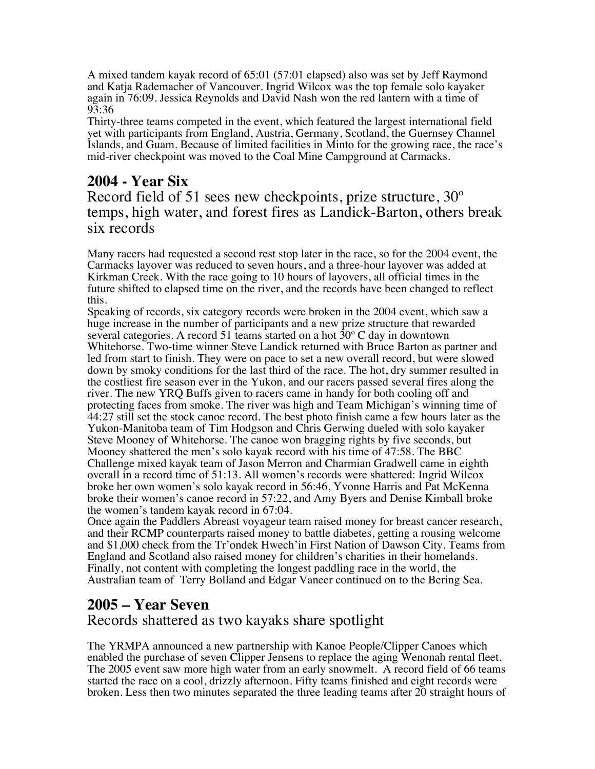A mixed tandem kayak record of 65:01 (57:01 elapsed) also was set by Jeff Raymond and Katja Rademacher of Vancouver. Ingrid Wilcox was the top female solo kayaker again in 76:09. Jessica Reynolds and David Nash won the red lantern with a time of 93:36

Thirty-three teams competed in the event, which featured the largest international field yet with participants from England, Austria, Germany, Scotland, the Guernsey Channel Islands, and Guam. Because of limited facilities in Minto for the growing race, the race's mid-river checkpoint was moved to the Coal Mine Campground at Carmacks.

#### **2004 - Year Six**

Record field of 51 sees new checkpoints, prize structure, 30º temps, high water, and forest fires as Landick-Barton, others break six records

Many racers had requested a second rest stop later in the race, so for the 2004 event, the Carmacks layover was reduced to seven hours, and a three-hour layover was added at Kirkman Creek. With the race going to 10 hours of layovers, all official times in the future shifted to elapsed time on the river, and the records have been changed to reflect this.

Speaking of records, six category records were broken in the 2004 event, which saw a huge increase in the number of participants and a new prize structure that rewarded several categories. A record 51 teams started on a hot 30º C day in downtown Whitehorse. Two-time winner Steve Landick returned with Bruce Barton as partner and led from start to finish. They were on pace to set a new overall record, but were slowed down by smoky conditions for the last third of the race. The hot, dry summer resulted in the costliest fire season ever in the Yukon, and our racers passed several fires along the river. The new YRQ Buffs given to racers came in handy for both cooling off and protecting faces from smoke. The river was high and Team Michigan's winning time of 44:27 still set the stock canoe record. The best photo finish came a few hours later as the Yukon-Manitoba team of Tim Hodgson and Chris Gerwing dueled with solo kayaker Steve Mooney of Whitehorse. The canoe won bragging rights by five seconds, but Mooney shattered the men's solo kayak record with his time of 47:58. The BBC Challenge mixed kayak team of Jason Merron and Charmian Gradwell came in eighth overall in a record time of 51:13. All women's records were shattered: Ingrid Wilcox broke her own women's solo kayak record in 56:46, Yvonne Harris and Pat McKenna broke their women's canoe record in 57:22, and Amy Byers and Denise Kimball broke the women's tandem kayak record in 67:04.

Once again the Paddlers Abreast voyageur team raised money for breast cancer research, and their RCMP counterparts raised money to battle diabetes, getting a rousing welcome and \$1,000 check from the Tr'ondek Hwech'in First Nation of Dawson City. Teams from England and Scotland also raised money for children's charities in their homelands. Finally, not content with completing the longest paddling race in the world, the Australian team of Terry Bolland and Edgar Vaneer continued on to the Bering Sea.

### **2005 – Year Seven**

Records shattered as two kayaks share spotlight

The YRMPA announced a new partnership with Kanoe People/Clipper Canoes which enabled the purchase of seven Clipper Jensens to replace the aging Wenonah rental fleet. The 2005 event saw more high water from an early snowmelt. A record field of 66 teams started the race on a cool, drizzly afternoon. Fifty teams finished and eight records were broken. Less then two minutes separated the three leading teams after 20 straight hours of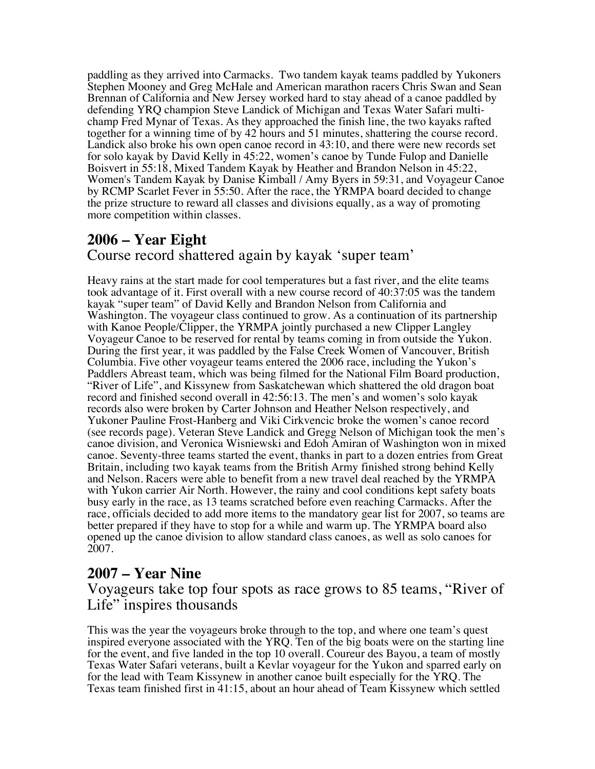paddling as they arrived into Carmacks. Two tandem kayak teams paddled by Yukoners Stephen Mooney and Greg McHale and American marathon racers Chris Swan and Sean Brennan of California and New Jersey worked hard to stay ahead of a canoe paddled by defending YRQ champion Steve Landick of Michigan and Texas Water Safari multichamp Fred Mynar of Texas. As they approached the finish line, the two kayaks rafted together for a winning time of by 42 hours and 51 minutes, shattering the course record. Landick also broke his own open canoe record in 43:10, and there were new records set for solo kayak by David Kelly in 45:22, women's canoe by Tunde Fulop and Danielle Boisvert in 55:18, Mixed Tandem Kayak by Heather and Brandon Nelson in 45:22, Women's Tandem Kayak by Danise Kimball / Amy Byers in 59:31, and Voyageur Canoe by RCMP Scarlet Fever in 55:50. After the race, the YRMPA board decided to change the prize structure to reward all classes and divisions equally, as a way of promoting more competition within classes.

#### **2006 – Year Eight** Course record shattered again by kayak 'super team'

Heavy rains at the start made for cool temperatures but a fast river, and the elite teams took advantage of it. First overall with a new course record of 40:37:05 was the tandem kayak "super team" of David Kelly and Brandon Nelson from California and Washington. The voyageur class continued to grow. As a continuation of its partnership with Kanoe People/Clipper, the YRMPA jointly purchased a new Clipper Langley Voyageur Canoe to be reserved for rental by teams coming in from outside the Yukon. During the first year, it was paddled by the False Creek Women of Vancouver, British Columbia. Five other voyageur teams entered the 2006 race, including the Yukon's Paddlers Abreast team, which was being filmed for the National Film Board production, "River of Life", and Kissynew from Saskatchewan which shattered the old dragon boat record and finished second overall in 42:56:13. The men's and women's solo kayak records also were broken by Carter Johnson and Heather Nelson respectively, and Yukoner Pauline Frost-Hanberg and Viki Cirkvencic broke the women's canoe record (see records page). Veteran Steve Landick and Gregg Nelson of Michigan took the men's canoe division, and Veronica Wisniewski and Edoh Amiran of Washington won in mixed canoe. Seventy-three teams started the event, thanks in part to a dozen entries from Great Britain, including two kayak teams from the British Army finished strong behind Kelly and Nelson. Racers were able to benefit from a new travel deal reached by the YRMPA with Yukon carrier Air North. However, the rainy and cool conditions kept safety boats busy early in the race, as 13 teams scratched before even reaching Carmacks. After the race, officials decided to add more items to the mandatory gear list for 2007, so teams are better prepared if they have to stop for a while and warm up. The YRMPA board also opened up the canoe division to allow standard class canoes, as well as solo canoes for 2007.

### **2007 – Year Nine**

Voyageurs take top four spots as race grows to 85 teams, "River of Life" inspires thousands

This was the year the voyageurs broke through to the top, and where one team's quest inspired everyone associated with the YRQ. Ten of the big boats were on the starting line for the event, and five landed in the top 10 overall. Coureur des Bayou, a team of mostly Texas Water Safari veterans, built a Kevlar voyageur for the Yukon and sparred early on for the lead with Team Kissynew in another canoe built especially for the YRQ. The Texas team finished first in 41:15, about an hour ahead of Team Kissynew which settled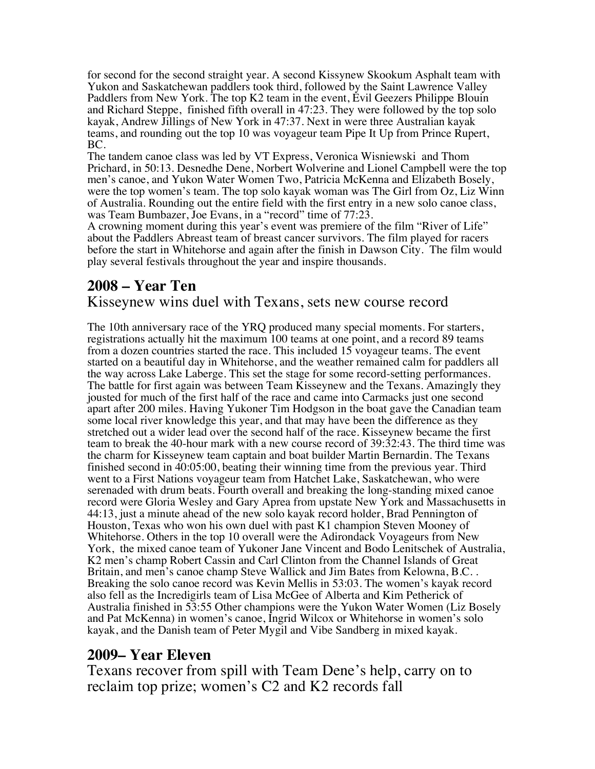for second for the second straight year. A second Kissynew Skookum Asphalt team with Yukon and Saskatchewan paddlers took third, followed by the Saint Lawrence Valley Paddlers from New York. The top K2 team in the event, Evil Geezers Philippe Blouin and Richard Steppe, finished fifth overall in 47:23. They were followed by the top solo kayak, Andrew Jillings of New York in 47:37. Next in were three Australian kayak teams, and rounding out the top 10 was voyageur team Pipe It Up from Prince Rupert, BC.

The tandem canoe class was led by VT Express, Veronica Wisniewski and Thom Prichard, in 50:13. Desnedhe Dene, Norbert Wolverine and Lionel Campbell were the top men's canoe, and Yukon Water Women Two, Patricia McKenna and Elizabeth Bosely, were the top women's team. The top solo kayak woman was The Girl from Oz, Liz Winn of Australia. Rounding out the entire field with the first entry in a new solo canoe class, was Team Bumbazer, Joe Evans, in a "record" time of 77:23.

A crowning moment during this year's event was premiere of the film "River of Life" about the Paddlers Abreast team of breast cancer survivors. The film played for racers before the start in Whitehorse and again after the finish in Dawson City. The film would play several festivals throughout the year and inspire thousands.

# **2008 – Year Ten**

#### Kisseynew wins duel with Texans, sets new course record

The 10th anniversary race of the YRQ produced many special moments. For starters, registrations actually hit the maximum 100 teams at one point, and a record 89 teams from a dozen countries started the race. This included 15 voyageur teams. The event started on a beautiful day in Whitehorse, and the weather remained calm for paddlers all the way across Lake Laberge. This set the stage for some record-setting performances. The battle for first again was between Team Kisseynew and the Texans. Amazingly they jousted for much of the first half of the race and came into Carmacks just one second apart after 200 miles. Having Yukoner Tim Hodgson in the boat gave the Canadian team some local river knowledge this year, and that may have been the difference as they stretched out a wider lead over the second half of the race. Kisseynew became the first team to break the 40-hour mark with a new course record of 39:32:43. The third time was the charm for Kisseynew team captain and boat builder Martin Bernardin. The Texans finished second in 40:05:00, beating their winning time from the previous year. Third went to a First Nations voyageur team from Hatchet Lake, Saskatchewan, who were serenaded with drum beats. Fourth overall and breaking the long-standing mixed canoe record were Gloria Wesley and Gary Aprea from upstate New York and Massachusetts in 44:13, just a minute ahead of the new solo kayak record holder, Brad Pennington of Houston, Texas who won his own duel with past K1 champion Steven Mooney of Whitehorse. Others in the top 10 overall were the Adirondack Voyageurs from New York, the mixed canoe team of Yukoner Jane Vincent and Bodo Lenitschek of Australia, K2 men's champ Robert Cassin and Carl Clinton from the Channel Islands of Great Britain, and men's canoe champ Steve Wallick and Jim Bates from Kelowna, B.C. . Breaking the solo canoe record was Kevin Mellis in 53:03. The women's kayak record also fell as the Incredigirls team of Lisa McGee of Alberta and Kim Petherick of Australia finished in 53:55 Other champions were the Yukon Water Women (Liz Bosely and Pat McKenna) in women's canoe, Ingrid Wilcox or Whitehorse in women's solo kayak, and the Danish team of Peter Mygil and Vibe Sandberg in mixed kayak.

### **2009– Year Eleven**

Texans recover from spill with Team Dene's help, carry on to reclaim top prize; women's C2 and K2 records fall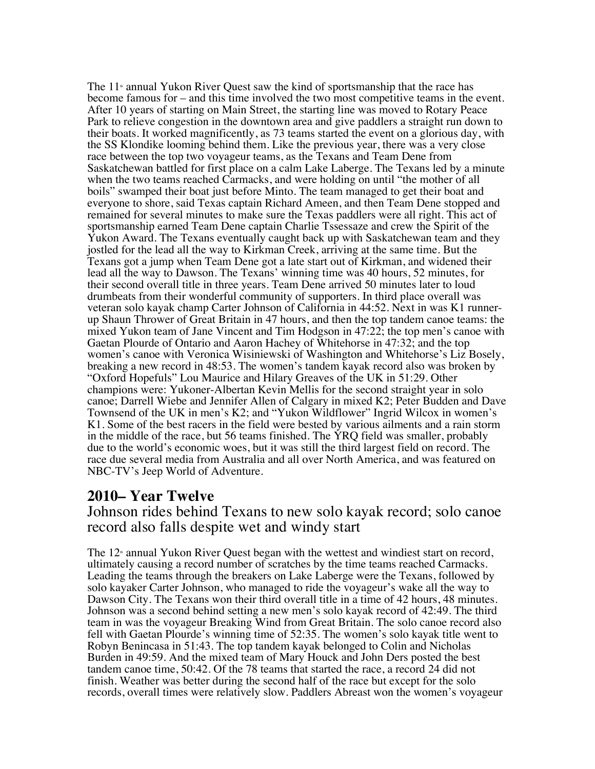The  $11^{\circ}$  annual Yukon River Quest saw the kind of sportsmanship that the race has become famous for – and this time involved the two most competitive teams in the event. After 10 years of starting on Main Street, the starting line was moved to Rotary Peace Park to relieve congestion in the downtown area and give paddlers a straight run down to their boats. It worked magnificently, as 73 teams started the event on a glorious day, with the SS Klondike looming behind them. Like the previous year, there was a very close race between the top two voyageur teams, as the Texans and Team Dene from Saskatchewan battled for first place on a calm Lake Laberge. The Texans led by a minute when the two teams reached Carmacks, and were holding on until "the mother of all boils" swamped their boat just before Minto. The team managed to get their boat and everyone to shore, said Texas captain Richard Ameen, and then Team Dene stopped and remained for several minutes to make sure the Texas paddlers were all right. This act of sportsmanship earned Team Dene captain Charlie Tssessaze and crew the Spirit of the Yukon Award. The Texans eventually caught back up with Saskatchewan team and they jostled for the lead all the way to Kirkman Creek, arriving at the same time. But the Texans got a jump when Team Dene got a late start out of Kirkman, and widened their lead all the way to Dawson. The Texans' winning time was 40 hours, 52 minutes, for their second overall title in three years. Team Dene arrived 50 minutes later to loud drumbeats from their wonderful community of supporters. In third place overall was veteran solo kayak champ Carter Johnson of California in 44:52. Next in was K1 runnerup Shaun Thrower of Great Britain in 47 hours, and then the top tandem canoe teams: the mixed Yukon team of Jane Vincent and Tim Hodgson in 47:22; the top men's canoe with Gaetan Plourde of Ontario and Aaron Hachey of Whitehorse in 47:32; and the top women's canoe with Veronica Wisiniewski of Washington and Whitehorse's Liz Bosely, breaking a new record in 48:53. The women's tandem kayak record also was broken by "Oxford Hopefuls" Lou Maurice and Hilary Greaves of the UK in 51:29. Other champions were: Yukoner-Albertan Kevin Mellis for the second straight year in solo canoe; Darrell Wiebe and Jennifer Allen of Calgary in mixed K2; Peter Budden and Dave Townsend of the UK in men's K2; and "Yukon Wildflower" Ingrid Wilcox in women's K1. Some of the best racers in the field were bested by various ailments and a rain storm in the middle of the race, but 56 teams finished. The YRQ field was smaller, probably due to the world's economic woes, but it was still the third largest field on record. The race due several media from Australia and all over North America, and was featured on NBC-TV's Jeep World of Adventure.

#### **2010– Year Twelve**

Johnson rides behind Texans to new solo kayak record; solo canoe record also falls despite wet and windy start

The  $12<sup>*</sup>$  annual Yukon River Quest began with the wettest and windiest start on record, ultimately causing a record number of scratches by the time teams reached Carmacks. Leading the teams through the breakers on Lake Laberge were the Texans, followed by solo kayaker Carter Johnson, who managed to ride the voyageur's wake all the way to Dawson City. The Texans won their third overall title in a time of 42 hours, 48 minutes. Johnson was a second behind setting a new men's solo kayak record of 42:49. The third team in was the voyageur Breaking Wind from Great Britain. The solo canoe record also fell with Gaetan Plourde's winning time of 52:35. The women's solo kayak title went to Robyn Benincasa in 51:43. The top tandem kayak belonged to Colin and Nicholas Burden in 49:59. And the mixed team of Mary Houck and John Ders posted the best tandem canoe time, 50:42. Of the 78 teams that started the race, a record 24 did not finish. Weather was better during the second half of the race but except for the solo records, overall times were relatively slow. Paddlers Abreast won the women's voyageur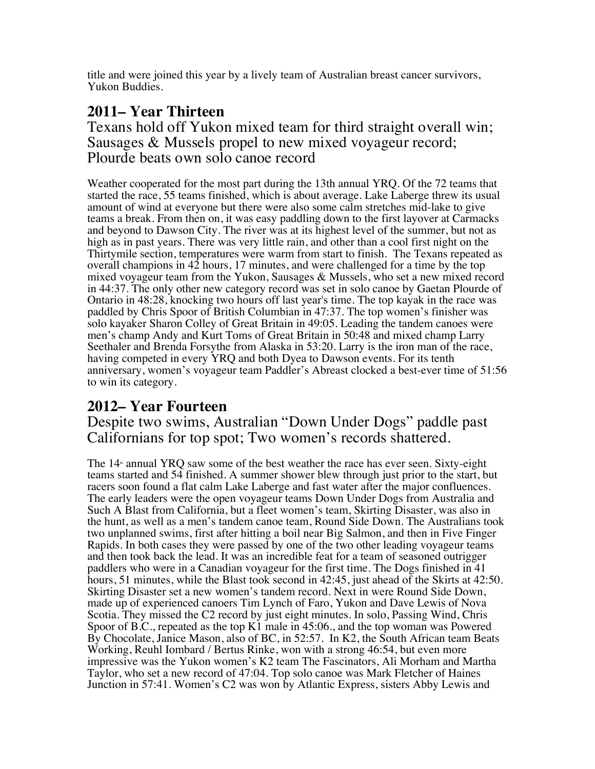title and were joined this year by a lively team of Australian breast cancer survivors, Yukon Buddies.

### **2011– Year Thirteen**

Texans hold off Yukon mixed team for third straight overall win; Sausages & Mussels propel to new mixed voyageur record; Plourde beats own solo canoe record

Weather cooperated for the most part during the 13th annual YRQ. Of the 72 teams that started the race, 55 teams finished, which is about average. Lake Laberge threw its usual amount of wind at everyone but there were also some calm stretches mid-lake to give teams a break. From then on, it was easy paddling down to the first layover at Carmacks and beyond to Dawson City. The river was at its highest level of the summer, but not as high as in past years. There was very little rain, and other than a cool first night on the Thirtymile section, temperatures were warm from start to finish. The Texans repeated as overall champions in  $42$  hours, 17 minutes, and were challenged for a time by the top mixed voyageur team from the Yukon, Sausages  $\&$  Mussels, who set a new mixed record in 44:37. The only other new category record was set in solo canoe by Gaetan Plourde of Ontario in 48:28, knocking two hours off last year's time. The top kayak in the race was paddled by Chris Spoor of British Columbian in 47:37. The top women's finisher was solo kayaker Sharon Colley of Great Britain in 49:05. Leading the tandem canoes were men's champ Andy and Kurt Toms of Great Britain in 50:48 and mixed champ Larry Seethaler and Brenda Forsythe from Alaska in 53:20. Larry is the iron man of the race, having competed in every YRQ and both Dyea to Dawson events. For its tenth anniversary, women's voyageur team Paddler's Abreast clocked a best-ever time of 51:56 to win its category.

### **2012– Year Fourteen**

Despite two swims, Australian "Down Under Dogs" paddle past Californians for top spot; Two women's records shattered.

The  $14<sup>*</sup>$  annual YRQ saw some of the best weather the race has ever seen. Sixty-eight teams started and 54 finished. A summer shower blew through just prior to the start, but racers soon found a flat calm Lake Laberge and fast water after the major confluences. The early leaders were the open voyageur teams Down Under Dogs from Australia and Such A Blast from California, but a fleet women's team, Skirting Disaster, was also in the hunt, as well as a men's tandem canoe team, Round Side Down. The Australians took two unplanned swims, first after hitting a boil near Big Salmon, and then in Five Finger Rapids. In both cases they were passed by one of the two other leading voyageur teams and then took back the lead. It was an incredible feat for a team of seasoned outrigger paddlers who were in a Canadian voyageur for the first time. The Dogs finished in 41 hours, 51 minutes, while the Blast took second in 42:45, just ahead of the Skirts at 42:50. Skirting Disaster set a new women's tandem record. Next in were Round Side Down, made up of experienced canoers Tim Lynch of Faro, Yukon and Dave Lewis of Nova Scotia. They missed the C2 record by just eight minutes. In solo, Passing Wind, Chris Spoor of B.C., repeated as the top K1 male in 45:06., and the top woman was Powered By Chocolate, Janice Mason, also of BC, in 52:57. In K2, the South African team Beats Working, Reuhl Iombard / Bertus Rinke, won with a strong 46:54, but even more impressive was the Yukon women's K2 team The Fascinators, Ali Morham and Martha Taylor, who set a new record of 47:04. Top solo canoe was Mark Fletcher of Haines Junction in 57:41. Women's C2 was won by Atlantic Express, sisters Abby Lewis and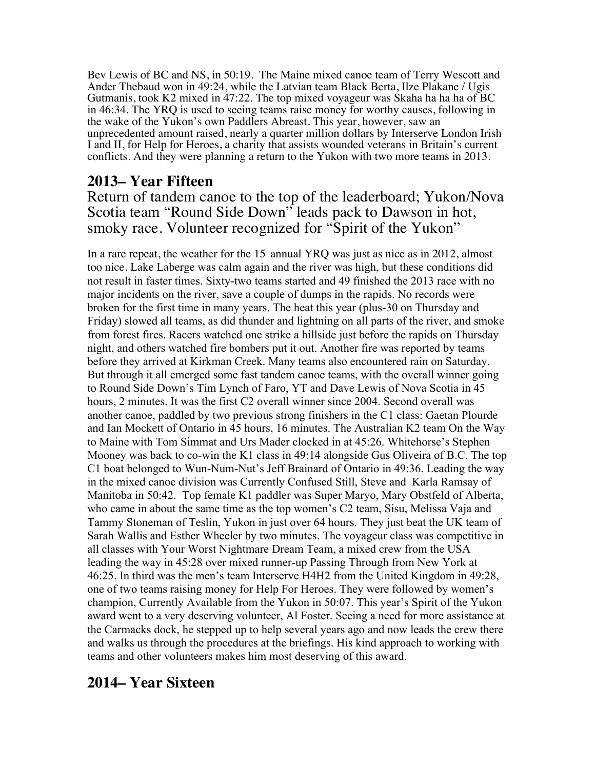Bev Lewis of BC and NS, in 50:19. The Maine mixed canoe team of Terry Wescott and Ander Thebaud won in 49:24, while the Latvian team Black Berta, Ilze Plakane / Ugis Gutmanis, took K2 mixed in 47:22. The top mixed voyageur was Skaha ha ha ha of BC in 46:34. The YRQ is used to seeing teams raise money for worthy causes, following in the wake of the Yukon's own Paddlers Abreast. This year, however, saw an unprecedented amount raised, nearly a quarter million dollars by Interserve London Irish I and II, for Help for Heroes, a charity that assists wounded veterans in Britain's current conflicts. And they were planning a return to the Yukon with two more teams in 2013.

### **2013– Year Fifteen**

Return of tandem canoe to the top of the leaderboard; Yukon/Nova Scotia team "Round Side Down" leads pack to Dawson in hot, smoky race. Volunteer recognized for "Spirit of the Yukon"

In a rare repeat, the weather for the  $15<sup>h</sup>$  annual YRO was just as nice as in 2012, almost too nice. Lake Laberge was calm again and the river was high, but these conditions did not result in faster times. Sixty-two teams started and 49 finished the 2013 race with no major incidents on the river, save a couple of dumps in the rapids. No records were broken for the first time in many years. The heat this year (plus-30 on Thursday and Friday) slowed all teams, as did thunder and lightning on all parts of the river, and smoke from forest fires. Racers watched one strike a hillside just before the rapids on Thursday night, and others watched fire bombers put it out. Another fire was reported by teams before they arrived at Kirkman Creek. Many teams also encountered rain on Saturday. But through it all emerged some fast tandem canoe teams, with the overall winner going to Round Side Down's Tim Lynch of Faro, YT and Dave Lewis of Nova Scotia in 45 hours, 2 minutes. It was the first C2 overall winner since 2004. Second overall was another canoe, paddled by two previous strong finishers in the C1 class: Gaetan Plourde and Ian Mockett of Ontario in 45 hours, 16 minutes. The Australian K2 team On the Way to Maine with Tom Simmat and Urs Mader clocked in at 45:26. Whitehorse's Stephen Mooney was back to co-win the K1 class in 49:14 alongside Gus Oliveira of B.C. The top C1 boat belonged to Wun-Num-Nut's Jeff Brainard of Ontario in 49:36. Leading the way in the mixed canoe division was Currently Confused Still, Steve and Karla Ramsay of Manitoba in 50:42. Top female K1 paddler was Super Maryo, Mary Obstfeld of Alberta, who came in about the same time as the top women's C2 team, Sisu, Melissa Vaja and Tammy Stoneman of Teslin, Yukon in just over 64 hours. They just beat the UK team of Sarah Wallis and Esther Wheeler by two minutes. The voyageur class was competitive in all classes with Your Worst Nightmare Dream Team, a mixed crew from the USA leading the way in 45:28 over mixed runner-up Passing Through from New York at 46:25. In third was the men's team Interserve H4H2 from the United Kingdom in 49:28, one of two teams raising money for Help For Heroes. They were followed by women's champion, Currently Available from the Yukon in 50:07. This year's Spirit of the Yukon award went to a very deserving volunteer, Al Foster. Seeing a need for more assistance at the Carmacks dock, he stepped up to help several years ago and now leads the crew there and walks us through the procedures at the briefings. His kind approach to working with teams and other volunteers makes him most deserving of this award.

### **2014– Year Sixteen**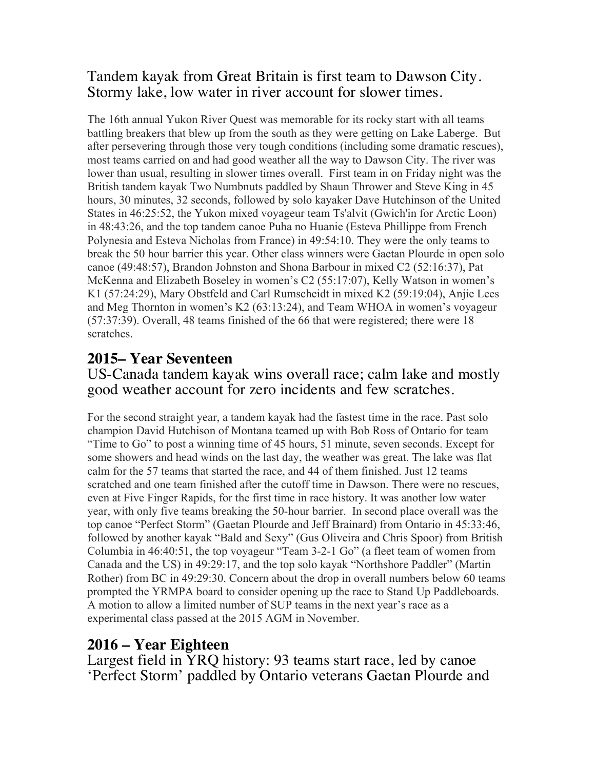#### Tandem kayak from Great Britain is first team to Dawson City. Stormy lake, low water in river account for slower times.

The 16th annual Yukon River Quest was memorable for its rocky start with all teams battling breakers that blew up from the south as they were getting on Lake Laberge. But after persevering through those very tough conditions (including some dramatic rescues), most teams carried on and had good weather all the way to Dawson City. The river was lower than usual, resulting in slower times overall. First team in on Friday night was the British tandem kayak Two Numbnuts paddled by Shaun Thrower and Steve King in 45 hours, 30 minutes, 32 seconds, followed by solo kayaker Dave Hutchinson of the United States in 46:25:52, the Yukon mixed voyageur team Ts'alvit (Gwich'in for Arctic Loon) in 48:43:26, and the top tandem canoe Puha no Huanie (Esteva Phillippe from French Polynesia and Esteva Nicholas from France) in 49:54:10. They were the only teams to break the 50 hour barrier this year. Other class winners were Gaetan Plourde in open solo canoe (49:48:57), Brandon Johnston and Shona Barbour in mixed C2 (52:16:37), Pat McKenna and Elizabeth Boseley in women's C2 (55:17:07), Kelly Watson in women's K1 (57:24:29), Mary Obstfeld and Carl Rumscheidt in mixed K2 (59:19:04), Anjie Lees and Meg Thornton in women's K2 (63:13:24), and Team WHOA in women's voyageur (57:37:39). Overall, 48 teams finished of the 66 that were registered; there were 18 scratches.

### **2015– Year Seventeen**

#### US-Canada tandem kayak wins overall race; calm lake and mostly good weather account for zero incidents and few scratches.

For the second straight year, a tandem kayak had the fastest time in the race. Past solo champion David Hutchison of Montana teamed up with Bob Ross of Ontario for team "Time to Go" to post a winning time of 45 hours, 51 minute, seven seconds. Except for some showers and head winds on the last day, the weather was great. The lake was flat calm for the 57 teams that started the race, and 44 of them finished. Just 12 teams scratched and one team finished after the cutoff time in Dawson. There were no rescues, even at Five Finger Rapids, for the first time in race history. It was another low water year, with only five teams breaking the 50-hour barrier. In second place overall was the top canoe "Perfect Storm" (Gaetan Plourde and Jeff Brainard) from Ontario in 45:33:46, followed by another kayak "Bald and Sexy" (Gus Oliveira and Chris Spoor) from British Columbia in 46:40:51, the top voyageur "Team 3-2-1 Go" (a fleet team of women from Canada and the US) in 49:29:17, and the top solo kayak "Northshore Paddler" (Martin Rother) from BC in 49:29:30. Concern about the drop in overall numbers below 60 teams prompted the YRMPA board to consider opening up the race to Stand Up Paddleboards. A motion to allow a limited number of SUP teams in the next year's race as a experimental class passed at the 2015 AGM in November.

### **2016 – Year Eighteen**

Largest field in YRQ history: 93 teams start race, led by canoe 'Perfect Storm' paddled by Ontario veterans Gaetan Plourde and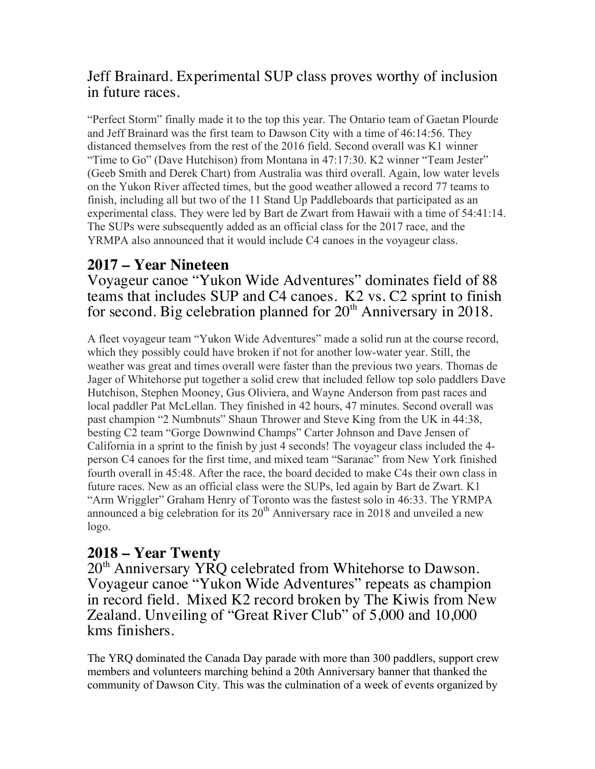### Jeff Brainard. Experimental SUP class proves worthy of inclusion in future races.

"Perfect Storm" finally made it to the top this year. The Ontario team of Gaetan Plourde and Jeff Brainard was the first team to Dawson City with a time of 46:14:56. They distanced themselves from the rest of the 2016 field. Second overall was K1 winner "Time to Go" (Dave Hutchison) from Montana in 47:17:30. K2 winner "Team Jester" (Geeb Smith and Derek Chart) from Australia was third overall. Again, low water levels on the Yukon River affected times, but the good weather allowed a record 77 teams to finish, including all but two of the 11 Stand Up Paddleboards that participated as an experimental class. They were led by Bart de Zwart from Hawaii with a time of 54:41:14. The SUPs were subsequently added as an official class for the 2017 race, and the YRMPA also announced that it would include C4 canoes in the voyageur class.

## **2017 – Year Nineteen**

Voyageur canoe "Yukon Wide Adventures" dominates field of 88 teams that includes SUP and C4 canoes. K2 vs. C2 sprint to finish for second. Big celebration planned for  $20<sup>th</sup>$  Anniversary in 2018.

A fleet voyageur team "Yukon Wide Adventures" made a solid run at the course record, which they possibly could have broken if not for another low-water year. Still, the weather was great and times overall were faster than the previous two years. Thomas de Jager of Whitehorse put together a solid crew that included fellow top solo paddlers Dave Hutchison, Stephen Mooney, Gus Oliviera, and Wayne Anderson from past races and local paddler Pat McLellan. They finished in 42 hours, 47 minutes. Second overall was past champion "2 Numbnuts" Shaun Thrower and Steve King from the UK in 44:38, besting C2 team "Gorge Downwind Champs" Carter Johnson and Dave Jensen of California in a sprint to the finish by just 4 seconds! The voyageur class included the 4 person C4 canoes for the first time, and mixed team "Saranac" from New York finished fourth overall in 45:48. After the race, the board decided to make C4s their own class in future races. New as an official class were the SUPs, led again by Bart de Zwart. K1 "Arm Wriggler" Graham Henry of Toronto was the fastest solo in 46:33. The YRMPA announced a big celebration for its  $20<sup>th</sup>$  Anniversary race in 2018 and unveiled a new logo.

### **2018 – Year Twenty**

20<sup>th</sup> Anniversary YRQ celebrated from Whitehorse to Dawson. Voyageur canoe "Yukon Wide Adventures" repeats as champion in record field. Mixed K2 record broken by The Kiwis from New Zealand. Unveiling of "Great River Club" of 5,000 and 10,000 kms finishers.

The YRQ dominated the Canada Day parade with more than 300 paddlers, support crew members and volunteers marching behind a 20th Anniversary banner that thanked the community of Dawson City. This was the culmination of a week of events organized by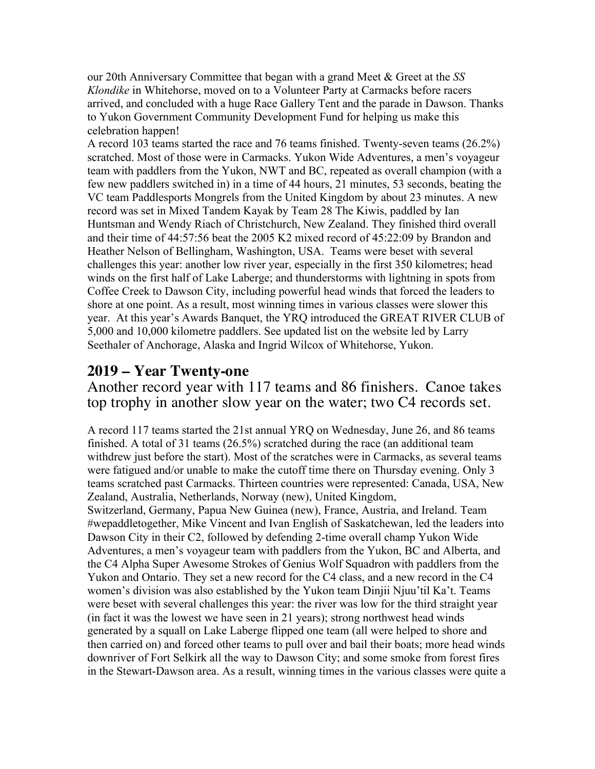our 20th Anniversary Committee that began with a grand Meet & Greet at the *SS Klondike* in Whitehorse, moved on to a Volunteer Party at Carmacks before racers arrived, and concluded with a huge Race Gallery Tent and the parade in Dawson. Thanks to Yukon Government Community Development Fund for helping us make this celebration happen!

A record 103 teams started the race and 76 teams finished. Twenty-seven teams (26.2%) scratched. Most of those were in Carmacks. Yukon Wide Adventures, a men's voyageur team with paddlers from the Yukon, NWT and BC, repeated as overall champion (with a few new paddlers switched in) in a time of 44 hours, 21 minutes, 53 seconds, beating the VC team Paddlesports Mongrels from the United Kingdom by about 23 minutes. A new record was set in Mixed Tandem Kayak by Team 28 The Kiwis, paddled by Ian Huntsman and Wendy Riach of Christchurch, New Zealand. They finished third overall and their time of 44:57:56 beat the 2005 K2 mixed record of 45:22:09 by Brandon and Heather Nelson of Bellingham, Washington, USA. Teams were beset with several challenges this year: another low river year, especially in the first 350 kilometres; head winds on the first half of Lake Laberge; and thunderstorms with lightning in spots from Coffee Creek to Dawson City, including powerful head winds that forced the leaders to shore at one point. As a result, most winning times in various classes were slower this year. At this year's Awards Banquet, the YRQ introduced the GREAT RIVER CLUB of 5,000 and 10,000 kilometre paddlers. See updated list on the website led by Larry Seethaler of Anchorage, Alaska and Ingrid Wilcox of Whitehorse, Yukon.

#### **2019 – Year Twenty-one**

Another record year with 117 teams and 86 finishers. Canoe takes top trophy in another slow year on the water; two C4 records set.

A record 117 teams started the 21st annual YRQ on Wednesday, June 26, and 86 teams finished. A total of 31 teams (26.5%) scratched during the race (an additional team withdrew just before the start). Most of the scratches were in Carmacks, as several teams were fatigued and/or unable to make the cutoff time there on Thursday evening. Only 3 teams scratched past Carmacks. Thirteen countries were represented: Canada, USA, New Zealand, Australia, Netherlands, Norway (new), United Kingdom, Switzerland, Germany, Papua New Guinea (new), France, Austria, and Ireland. Team #wepaddletogether, Mike Vincent and Ivan English of Saskatchewan, led the leaders into Dawson City in their C2, followed by defending 2-time overall champ Yukon Wide Adventures, a men's voyageur team with paddlers from the Yukon, BC and Alberta, and the C4 Alpha Super Awesome Strokes of Genius Wolf Squadron with paddlers from the Yukon and Ontario. They set a new record for the C4 class, and a new record in the C4 women's division was also established by the Yukon team Dinjii Njuu'til Ka't. Teams were beset with several challenges this year: the river was low for the third straight year (in fact it was the lowest we have seen in 21 years); strong northwest head winds generated by a squall on Lake Laberge flipped one team (all were helped to shore and then carried on) and forced other teams to pull over and bail their boats; more head winds downriver of Fort Selkirk all the way to Dawson City; and some smoke from forest fires in the Stewart-Dawson area. As a result, winning times in the various classes were quite a